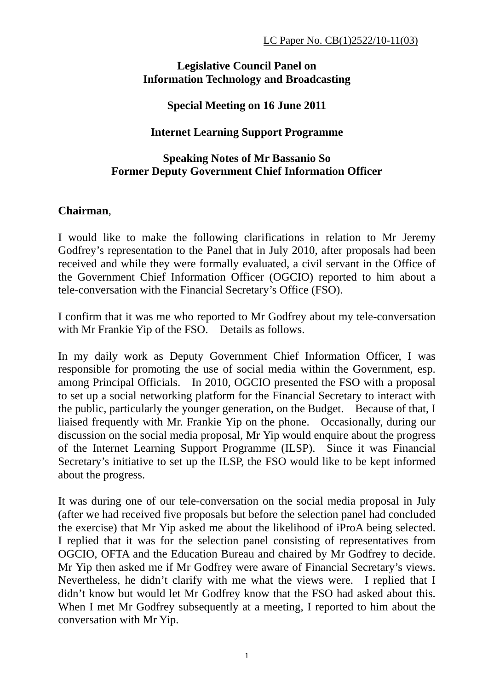### **Legislative Council Panel on Information Technology and Broadcasting**

# **Special Meeting on 16 June 2011**

## **Internet Learning Support Programme**

### **Speaking Notes of Mr Bassanio So Former Deputy Government Chief Information Officer**

### **Chairman**,

I would like to make the following clarifications in relation to Mr Jeremy Godfrey's representation to the Panel that in July 2010, after proposals had been received and while they were formally evaluated, a civil servant in the Office of the Government Chief Information Officer (OGCIO) reported to him about a tele-conversation with the Financial Secretary's Office (FSO).

I confirm that it was me who reported to Mr Godfrey about my tele-conversation with Mr Frankie Yip of the FSO. Details as follows.

In my daily work as Deputy Government Chief Information Officer, I was responsible for promoting the use of social media within the Government, esp. among Principal Officials. In 2010, OGCIO presented the FSO with a proposal to set up a social networking platform for the Financial Secretary to interact with the public, particularly the younger generation, on the Budget. Because of that, I liaised frequently with Mr. Frankie Yip on the phone. Occasionally, during our discussion on the social media proposal, Mr Yip would enquire about the progress of the Internet Learning Support Programme (ILSP). Since it was Financial Secretary's initiative to set up the ILSP, the FSO would like to be kept informed about the progress.

It was during one of our tele-conversation on the social media proposal in July (after we had received five proposals but before the selection panel had concluded the exercise) that Mr Yip asked me about the likelihood of iProA being selected. I replied that it was for the selection panel consisting of representatives from OGCIO, OFTA and the Education Bureau and chaired by Mr Godfrey to decide. Mr Yip then asked me if Mr Godfrey were aware of Financial Secretary's views. Nevertheless, he didn't clarify with me what the views were. I replied that I didn't know but would let Mr Godfrey know that the FSO had asked about this. When I met Mr Godfrey subsequently at a meeting, I reported to him about the conversation with Mr Yip.